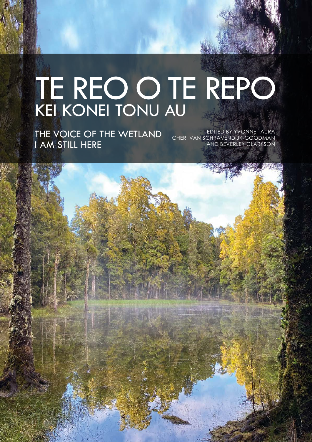# TE REO O TE REPO KEI KONEI TONU AU

THE VOICE OF THE WETLAND I AM STILL HERE

EDITED BY YVONNE TAURA CHERI VAN SCHRAVENDIJK-GOODMAN AND BEVERLEY CLARKSON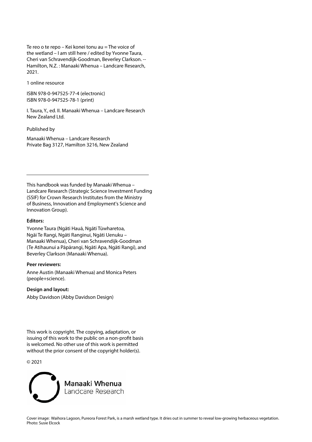Te reo o te repo – Kei konei tonu au = The voice of the wetland – I am still here / edited by Yvonne Taura, Cheri van Schravendijk-Goodman, Beverley Clarkson. -- Hamilton, N.Z. : Manaaki Whenua – Landcare Research, 2021.

1 online resource

ISBN 978-0-947525-77-4 (electronic) ISBN 978-0-947525-78-1 (print)

I. Taura, Y., ed. II. Manaaki Whenua – Landcare Research New Zealand Ltd.

Published by

Manaaki Whenua – Landcare Research Private Bag 3127, Hamilton 3216, New Zealand

This handbook was funded by Manaaki Whenua – Landcare Research (Strategic Science Investment Funding (SSIF) for Crown Research Institutes from the Ministry of Business, Innovation and Employment's Science and Innovation Group).

### **Editors:**

Yvonne Taura (Ngāti Hauā, Ngāti Tūwharetoa, Ngāi Te Rangi, Ngāti Ranginui, Ngāti Uenuku – Manaaki Whenua), Cheri van Schravendijk-Goodman (Te Atihaunui a Pāpārangi, Ngāti Apa, Ngāti Rangi), and Beverley Clarkson (Manaaki Whenua).

#### **Peer reviewers:**

Anne Austin (Manaaki Whenua) and Monica Peters (people+science).

**Design and layout:** 

Abby Davidson (Abby Davidson Design)

This work is copyright. The copying, adaptation, or issuing of this work to the public on a non-profit basis is welcomed. No other use of this work is permitted without the prior consent of the copyright holder(s).

© 2021

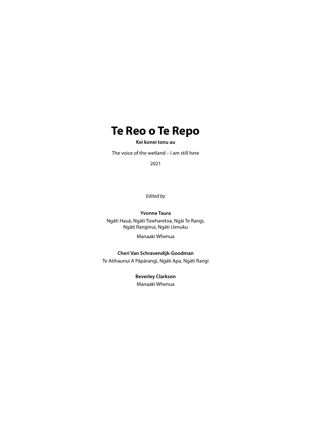### **Te Reo o Te Repo**

**Kei konei tonu au**

The voice of the wetland – I am still here

2021

*Edited by*

**Yvonne Taura** Ngāti Hauā, Ngāti Tūwharetoa, Ngāi Te Rangi, Ngāti Ranginui, Ngāti Uenuku

Manaaki Whenua

**Cheri Van Schravendijk-Goodman** Te Atihaunui A Pāpārangi, Ngāti Apa, Ngāti Rangi

> **Beverley Clarkson** Manaaki Whenua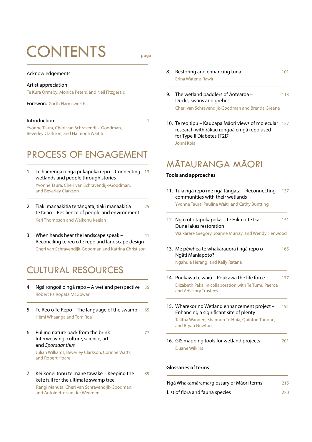## CONTENTS page

#### Acknowledgements

#### Artist appreciation

Te Kura Ormsby, Monica Peters, and Neil Fitzgerald

Foreword Garth Harmsworth

#### **Introduction**

Yvonne Taura, Cheri van Schravendijk-Goodman, Beverley Clarkson, and Haimona Waititi

### PROCESS OF ENGAGEMENT

- 1. Te haerenga o ngā pukapuka repo Connecting 13 wetlands and people through stories Yvonne Taura, Cheri van Schravendijk-Goodman, and Beverley Clarkson
- 2. Tiaki manaakitia te tāngata, tiaki manaakitia 25 te taiao – Resilience of people and environment Keri Thompson and Waikohu Keelan
- 3. When hands hear the landscape speak 41 Reconciling te reo o te repo and landscape design Cheri van Schravendijk-Goodman and Katrina Christison

### CULTURAL RESOURCES

4. Ngā rongoā o ngā repo - A wetland perspective Robert Pa Ropata McGowan

- 5. Te Reo o Te Repo The language of the swamp 65 Hēmi Whaanga and Tom Roa
- 6. Pulling nature back from the brink 77 Interweaving culture, science, art and *Sporadanthus*

 Julian Williams, Beverley Clarkson, Corinne Watts, and Robert Hoare

7. Kei konei tonu te maire tawake – Keeping the  $89$ kete full for the ultimate swamp tree

 Rangi Mahuta, Cheri van Schravendijk-Goodman, and Antoinette van der Weerden

- 8. Restoring and enhancing tuna 101 Erina Watene-Rawiri
- 9. The wetland paddlers of Aotearoa 113 Ducks, swans and grebes

Cheri van Schravendijk-Goodman and Brenda Greene

10. Te reo tipu – Kaupapa Māori views of molecular 127 research with rākau rongoā o ngā repo used for Type II Diabetes (T2D) Jonni Koia

## MĀTAURANGA MĀORI

### **Tools and approaches**

- 11. Tuia ngā repo me ngā tāngata Reconnecting 137 communities with their wetlands Yvonne Taura, Pauline Waiti, and Cathy Buntting
- 12. Ngā roto tāpokapoka Te Hiku o Te Ika: 151 Dune lakes restoration

Waikarere Gregory, Joanne Murray, and Wendy Henwood

13. Me pēwhea te whakarauora i ngā repo o 165 Ngāti Maniapoto?

Ngahuia Herangi and Kelly Ratana

- 14. Poukawa te waiū Poukawa the life force 177 Elizabeth Pakai in collaboration with Te Tumu Paeroa and Advisory Trustees
- 15. Wharekorino Wetland enhancement project 191 Enhancing a significant site of plenty

 Talitha Wanden, Shannon Te Huia, Quinton Tunoho, and Bryan Newton

16. GIS mapping tools for wetland projects 201 Duane Wilkins

#### **Glossaries of terms**

| Ngā Whakamārama/glossary of Māori terms | 215 |
|-----------------------------------------|-----|
| List of flora and fauna species         | 220 |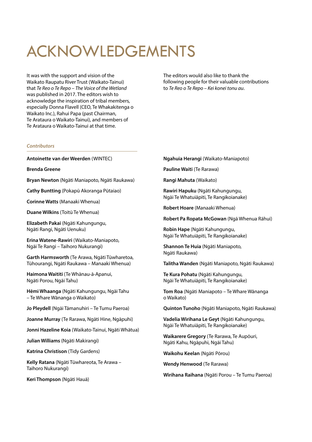## ACKNOWLEDGEMENTS

It was with the support and vision of the Waikato Raupatu River Trust (Waikato-Tainui) that *Te Reo o Te Repo – The Voice of the Wetland* was published in 2017. The editors wish to acknowledge the inspiration of tribal members, especially Donna Flavell (CEO, Te Whakakitenga o Waikato Inc.), Rahui Papa (past Chairman, Te Arataura o Waikato-Tainui), and members of Te Arataura o Waikato-Tainui at that time.

The editors would also like to thank the following people for their valuable contributions to *Te Reo o Te Repo – Kei konei tonu au*.

### *Contributors*

**Antoinette van der Weerden** (WINTEC)

**Brenda Greene**

**Bryan Newton** (Ngāti Maniapoto, Ngāti Raukawa)

**Cathy Buntting** (Pokapū Akoranga Pūtaiao)

**Corinne Watts** (Manaaki Whenua)

**Duane Wilkins** (Toitū Te Whenua)

**Elizabeth Pakai** (Ngāti Kahungungu, Ngāti Rangi, Ngāti Uenuku)

**Erina Watene-Rawiri** (Waikato-Maniapoto, Ngāi Te Rangi – Taihoro Nukurangi)

**Garth Harmsworth** (Te Arawa, Ngāti Tūwharetoa, Tūhourangi, Ngāti Raukawa – Manaaki Whenua)

**Haimona Waititi** (Te Whānau-ā-Apanui, Ngāti Porou, Ngāi Tahu)

**Hēmi Whaanga** (Ngāti Kahungungu, Ngāi Tahu – Te Whare Wānanga o Waikato)

**Jo Pleydell** (Ngāi Tāmanuhiri – Te Tumu Paeroa)

**Joanne Murray** (Te Rarawa, Ngāti Hine, Ngāpuhi)

**Jonni Hazeline Koia** (Waikato-Tainui, Ngāti Whātua)

**Julian Williams** (Ngāti Makirangi)

**Katrina Christison** (Tidy Gardens)

**Kelly Ratana** (Ngāti Tūwhareota, Te Arawa – Taihoro Nukurangi)

**Keri Thompson** (Ngāti Hauā)

**Ngahuia Herangi** (Waikato-Maniapoto)

**Pauline Waiti** (Te Rarawa)

**Rangi Mahuta** (Waikato)

**Rawiri Hapuku** (Ngāti Kahungungu, Ngāi Te Whatuiāpiti, Te Rangikoianake)

**Robert Hoare** (Manaaki Whenua)

**Robert Pa Ropata McGowan** (Ngā Whenua Rāhui)

**Robin Hape** (Ngāti Kahungungu, Ngāi Te Whatuiāpiti, Te Rangikoianake)

**Shannon Te Huia** (Ngāti Maniapoto, Ngāti Raukawa)

**Talitha Wanden** (Ngāti Maniapoto, Ngāti Raukawa)

**Te Kura Pohatu** (Ngāti Kahungungu, Ngāi Te Whatuiāpiti, Te Rangikoianake)

**Tom Roa** (Ngāti Maniapoto – Te Whare Wānanga o Waikato)

**Quinton Tunoho** (Ngāti Maniapoto, Ngāti Raukawa)

**Vadelia Wirihana Le Geyt** (Ngāti Kahungungu, Ngāi Te Whatuiāpiti, Te Rangikoianake)

**Waikarere Gregory** (Te Rarawa, Te Aupōuri, Ngāti Kahu, Ngāpuhi, Ngāi Tahu)

**Waikohu Keelan** (Ngāti Pōrou)

**Wendy Henwood** (Te Rarawa)

**Wirihana Raihana** (Ngāti Porou – Te Tumu Paeroa)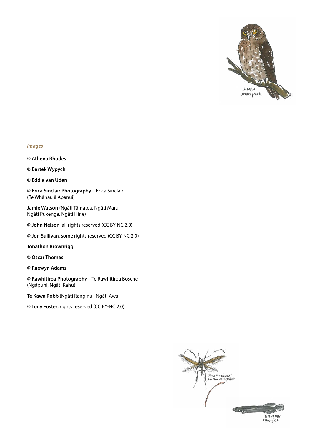

#### *Images*

**© Athena Rhodes** 

**© Bartek Wypych** 

**© Eddie van Uden**

**© Erica Sinclair Photography** – Erica Sinclair (Te Whānau ā Apanui)

**Jamie Watson** (Ngāti Tāmatea, Ngāti Maru, Ngāti Pukenga, Ngāti Hine)

**© John Nelson**, all rights reserved (CC BY-NC 2.0)

**© Jon Sullivan**, some rights reserved (CC BY-NC 2.0)

**Jonathon Brownrigg**

**© Oscar Thomas** 

**© Raewyn Adams** 

**© Rawhitiroa Photography** – Te Rawhitiroa Bosche (Ngāpuhi, Ngāti Kahu)

**Te Kawa Robb** (Ngāti Ranginui, Ngāti Awa)

**© Tony Foster**, rights reserved (CC BY-NC 2.0)

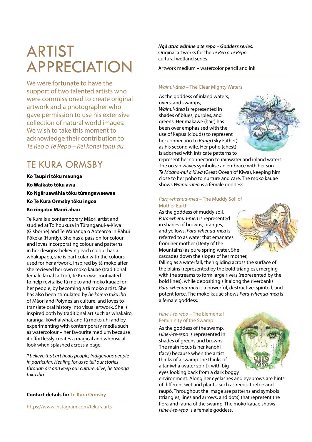## ARTIST APPRECIATION

We were fortunate to have the support of two talented artists who were commissioned to create original artwork and a photographer who gave permission to use his extensive collection of natural world images. We wish to take this moment to acknowledge their contribution to *Te Reo o Te Repo – Kei konei tonu au.*

### TE KURA ORMSBY

**Ko Taupiri tōku maunga Ko Waikato tōku awa Ko Ngāruawāhia tōku tūrangawaewae Ko Te Kura Ormsby tōku ingoa Ko ringatoi Māori ahau**

Te Kura is a contemporary Māori artist and studied at Toihoukura in Tūranganui-a-Kiwa (Gisborne) and Te Wānanga o Aotearoa in Rāhui Pōkeka (Huntly). She has a passion for colour and loves incorporating colour and patterns in her designs: believing each colour has a whakapapa, she is particular with the colours used for her artwork. Inspired by tā moko after she recieved her own moko kauae (traditional female facial tattoo), Te Kura was motivated to help revitalise tā moko and moko kauae for her people, by becoming a tā moko artist. She has also been stimulated by *he kōrero tuku iho* of Māori and Polynesian culture, and loves to translate oral history into visual artwork. She is inspired both by traditional art such as whakairo, raranga, kōwhaiwhai, and tā moko uhi and by experimenting with contemporary media such as watercolour – her favourite medium because it effortlessly creates a magical and whimsical look when splashed across a page.

*'I believe that art heals people, Indigenous people in particular. Healing for us to tell our stories through art and keep our culture alive, he taonga tuku iho.'*

### **Contact details for Te Kura Ormsby**

https://www.instagram.com/tekuraarts

*Ngā atua wāhine o te repo – Goddess series.* Original artworks for the *Te Reo o Te Repo*  cultural wetland series.

Artwork medium – watercolor pencil and ink

### *Wainui-ātea* – The Clear Mighty Waters

As the goddess of inland waters, rivers, and swamps, *Wainui-ātea* is represented in shades of blues, purples, and greens. Her makawe (hair) has been over emphasised with the use of kapua (clouds) to represent her connection to *Rangi* (Sky Father) as his second wife. Her poho (chest) is adorned with intricate patterns to



represent her connection to rainwater and inland waters. The ocean waves symbolise an embrace with her son *Te Moana-nui a Kiwa* (Great Ocean of Kiwa), keeping him close to her poho to nurture and care. The moko kauae shows *Wainui-ātea* is a female goddess.

### *Para-whenua-mea* – The Muddy Soil of Mother Earth

As the goddess of muddy soil, *Para-whenua-mea* is represented in shades of browns, oranges, and yellows. *Para-whenua-mea* is referred to as water that emanates from her mother (Deity of the Mountains) as pure spring water. She cascades down the slopes of her mother, falling as a waterfall, then gliding across the surface of

the plains (represented by the bold triangles), merging with the streams to form large rivers (represented by the bold lines), while depositing silt along the riverbanks. Para-whenua-mea is a powerful, destructive, spirited, and potent force. The moko kauae shows *Para-whenua-mea* is a female goddess.

### *Hine-i-te-repo* – The Elemental Femininity of the Swamp

As the goddess of the swamp, *Hine-i-te-repo* is represented in shades of greens and browns. The main focus is her kanohi (face) because when the artist thinks of a swamp she thinks of a taniwha (water spirit), with big eyes looking back from a dark boggy

environment. Along her eyelashes and eyebrows are hints of different wetland plants, such as reeds, toetoe and raupō. Throughout the image are patterns and symbols (triangles, lines and arrows, and dots) that represent the flora and fauna of the swamp. The moko kauae shows *Hine-i-te-repo* is a female goddess.



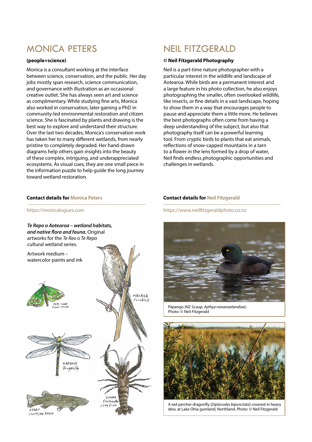### MONICA PETERS

### **(people+science)**

Monica is a consultant working at the interface between science, conservation, and the public. Her day jobs mostly span research, science communication, and governance with illustration as an occasional creative outlet. She has always seen art and science as complimentary. While studying fine arts, Monica also worked in conservation, later gaining a PhD in community-led environmental restoration and citizen science. She is fascinated by plants and drawing is the best way to explore and understand their structure. Over the last two decades, Monica's conservation work has taken her to many different wetlands, from nearly pristine to completely degraded. Her hand-drawn diagrams help others gain insights into the beauty of these complex, intriguing, and underappreciated ecosystems. As visual cues, they are one small piece in the information puzzle to help guide the long journey toward wetland restoration.

### **Contact details for Monica Peters**

### NEIL FITZGERALD

### **© Neil Fitzgerald Photography**

Neil is a part-time nature photographer with a particular interest in the wildlife and landscape of Aotearoa. While birds are a permanent interest and a large feature in his photo collection, he also enjoys photographing the smaller, often overlooked wildlife, like insects, or fine details in a vast landscape, hoping to show them in a way that encourages people to pause and appreciate them a little more. He believes the best photographs often come from having a deep understanding of the subject, but also that photography itself can be a powerful learning tool. From cryptic birds to plants that eat animals, reflections of snow-capped mountains in a tarn to a flower in the lens formed by a drop of water, Neil finds endless photographic opportunities and challenges in wetlands.

### **Contact details for Neil Fitzgerald**

https://www.neilfitzgeraldphoto.co.nz



Pāpango (NZ Scaup; *Aythya novaeseelandiae*). Photo: © Neil Fitzgerald



A red percher dragonfly (*Diplacodes bipunctata*) covered in heavy dew, at Lake Ohia gumland, Northland. Photo: © Neil Fitzgerald

https://monicalogues.com

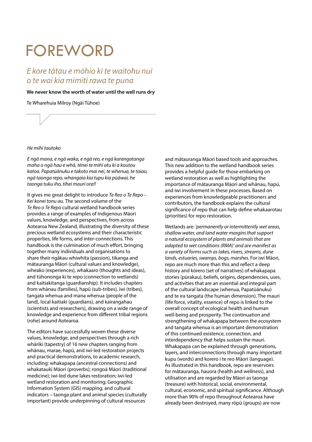## FOREWORD

### *E kore tātau e mōhio ki te waitohu nui o te wai kia mimiti rawa te puna*

### **We never know the worth of water until the well runs dry**

Te Wharehuia Milroy (Ngāi Tūhoe)



*E ngā mana, e ngā waka, e ngā reo, e ngā karangatanga maha o ngā hau e whā, tēnei te mihi atu ki a koutou katoa. Papatūānuku e takoto mai nei, te whenua, te taiao, ngā taonga repo, whangaia kia tupu kia pūāwai, he taonga tuku iho, tihei mauri ora!!*

It gives me great delight to introduce *Te Reo o Te Repo – Kei konei tonu au.* The second volume of the *Te Reo o Te Repo* cultural wetland handbook series provides a range of examples of Indigenous Māori values, knowledge, and perspectives, from across Aotearoa New Zealand, illustrating the diversity of these precious wetland ecosystems and their characteristic properties, life forms, and inter-connections. This handbook is the culmination of much effort, bringing together many individuals and organisations to share their ngākau whiwhita (passion), tikanga and mātauranga Māori (cultural values and knowledge), wheako (experiences), whakaaro (thoughts and ideas), and tūhononga ki te repo (connection to wetlands) and kaitiakitanga (guardianship). It includes chapters from whānau (families), hapū (sub-tribes), iwi (tribes), tangata whenua and mana whenua (people of the land), local kaitiaki (guardians), and kairangahau (scientists and researchers), drawing on a wide range of knowledge and experience from different tribal regions (rohe) around Aotearoa.

The editors have successfully woven these diverse values, knowledge, and perspectives through a rich whāriki (tapestry) of 16 new chapters ranging from whānau, marae, hapū, and iwi-led restoration projects and practical demonstrations, to academic research, including: whakapapa (ancestral connections) and whakataukī Māori (proverbs); rongoā Māori (traditional medicine); iwi-led dune lakes restoration; iwi-led wetland restoration and monitoring; Geographic Information System (GIS) mapping; and cultural indicators – taonga plant and animal species (culturally important) provide underpinning of cultural resources

and mātauranga Māori based tools and approaches. This new addition to the wetland handbook series provides a helpful guide for those embarking on wetland restoration as well as highlighting the importance of mātauranga Māori and whānau, hapū, and iwi involvement in these processes. Based on experiences from knowledgeable practitioners and contributors, the handbook explains the cultural significance of repo that can help define whakaarotau (priorities) for repo restoration.

Wetlands are: *'permanently or intermittently wet areas, shallow water, and land water margins that support a natural ecosystem of plants and animals that are adapted to wet conditions (RMA)' and are manifest as a variety of forms such as lakes, rivers, streams, dune lands, estuaries, swamps, bogs, marshes.* For iwi Māori, repo are much more than this and reflect a deep history and kōrero (set of narratives) of whakapapa stories (pūrakau), beliefs, origins, dependencies, uses, and activities that are an essential and integral part of the cultural landscape (whenua, Papatūānuku) and te ira tangata (the human dimension). The mauri (life force, vitality, essence) of repo is linked to the overall concept of ecological health and human well-being and prosperity. The continuation and strengthening of whakapapa between the ecosystem and tangata whenua is an important demonstration of this continued existence, connection, and interdependency that helps sustain the mauri. Whakapapa can be explained through generations, layers, and interconnections through many important kupu (words) and korero i te reo Māori (language). As illustrated in this handbook, repo are reservoirs for mātauranga, hauora (health and wellness), and utilisation and are regarded by Māori as taonga (treasure) with historical, social, environmental, cultural, economic, and spiritual significance. Although more than 90% of repo throughout Aotearoa have already been destroyed, many rōpū (groups) are now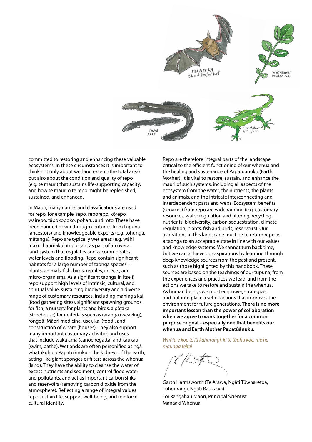

committed to restoring and enhancing these valuable ecosystems. In these circumstances it is important to think not only about wetland extent (the total area) but also about the condition and quality of repo (e.g. te mauri) that sustains life-supporting capacity, and how te mauri o te repo might be replenished, sustained, and enhanced.

In Māori, many names and classifications are used for repo, for example, repo, reporepo, kōrepo, wairepo, tāpokopoko, poharu, and roto. These have been handed down through centuries from tūpuna (ancestors) and knowledgeable experts (e.g. tohunga, mātanga). Repo are typically wet areas (e.g. wāhi māku, haumāku) important as part of an overall land-system that regulates and accommodates water levels and flooding. Repo contain significant habitats for a large number of taonga species – plants, animals, fish, birds, reptiles, insects, and micro-organisms. As a significant taonga in itself, repo support high levels of intrinsic, cultural, and spiritual value, sustaining biodiversity and a diverse range of customary resources, including mahinga kai (food gathering sites), significant spawning grounds for fish, a nursery for plants and birds, a pātaka (storehouse) for materials such as raranga (weaving), rongoā (Māori medicinal use), kai (food), and construction of whare (houses). They also support many important customary activities and uses that include waka ama (canoe regatta) and kaukau (swim, bathe). Wetlands are often personified as ngā whatukuhu o Papatūānuku – the kidneys of the earth, acting like giant sponges or filters across the whenua (land). They have the ability to cleanse the water of excess nutrients and sediment, control flood water and pollutants, and act as important carbon sinks and reservoirs (removing carbon dioxide from the atmosphere). Reflecting a range of integral values repo sustain life, support well-being, and reinforce cultural identity.

Repo are therefore integral parts of the landscape critical to the efficient functioning of our whenua and the healing and sustenance of Papatūānuku (Earth Mother). It is vital to restore, sustain, and enhance the mauri of such systems, including all aspects of the ecosystem from the water, the nutrients, the plants and animals, and the intricate interconnecting and interdependent parts and webs. Ecosystem benefits (services) from repo are wide ranging (e.g. customary resources, water regulation and filtering, recycling nutrients, biodiversity, carbon sequestration, climate regulation, plants, fish and birds, reservoirs). Our aspirations in this landscape must be to return repo as a taonga to an acceptable state in line with our values and knowledge systems. We cannot turn back time, but we can achieve our aspirations by learning through deep knowledge sources from the past and present, such as those highlighted by this handbook. These sources are based on the teachings of our tūpuna, from the experiences and practices we lead, and from the actions we take to restore and sustain the whenua. As human beings we must empower, strategize, and put into place a set of actions that improves the environment for future generations. **There is no more important lesson than the power of collaboration when we agree to work together for a common purpose or goal – especially one that benefits our whenua and Earth Mother Papatūānuku.** 

*Whāia e koe te iti kahurangi, ki te tūohu koe, me he maunga teitei*

Garth Harmsworth (Te Arawa, Ngāti Tūwharetoa, Tūhourangi, Ngāti Raukawa) Toi Rangahau Māori, Principal Scientist Manaaki Whenua